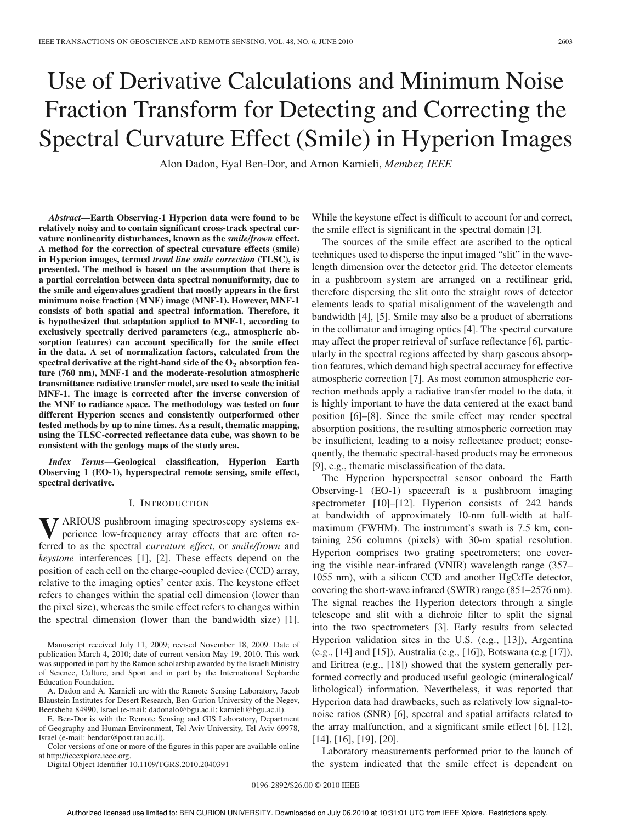# Use of Derivative Calculations and Minimum Noise Fraction Transform for Detecting and Correcting the Spectral Curvature Effect (Smile) in Hyperion Images

Alon Dadon, Eyal Ben-Dor, and Arnon Karnieli, *Member, IEEE*

*Abstract***—Earth Observing-1 Hyperion data were found to be relatively noisy and to contain significant cross-track spectral curvature nonlinearity disturbances, known as the** *smile/frown* **effect. A method for the correction of spectral curvature effects (smile) in Hyperion images, termed** *trend line smile correction* **(TLSC), is presented. The method is based on the assumption that there is a partial correlation between data spectral nonuniformity, due to the smile and eigenvalues gradient that mostly appears in the first minimum noise fraction (MNF) image (MNF-1). However, MNF-1 consists of both spatial and spectral information. Therefore, it is hypothesized that adaptation applied to MNF-1, according to exclusively spectrally derived parameters (e.g., atmospheric absorption features) can account specifically for the smile effect in the data. A set of normalization factors, calculated from the spectral derivative at the right-hand side of the O**<sup>2</sup> **absorption feature (760 nm), MNF-1 and the moderate-resolution atmospheric transmittance radiative transfer model, are used to scale the initial MNF-1. The image is corrected after the inverse conversion of the MNF to radiance space. The methodology was tested on four different Hyperion scenes and consistently outperformed other tested methods by up to nine times. As a result, thematic mapping, using the TLSC-corrected reflectance data cube, was shown to be consistent with the geology maps of the study area.**

*Index Terms***—Geological classification, Hyperion Earth Observing 1 (EO-1), hyperspectral remote sensing, smile effect, spectral derivative.**

#### I. INTRODUCTION

**V** ARIOUS pushbroom imaging spectroscopy systems experience low-frequency array effects that are often reperience low-frequency array effects that are often referred to as the spectral *curvature effect*, or *smile/frown* and *keystone* interferences [1], [2]. These effects depend on the position of each cell on the charge-coupled device (CCD) array, relative to the imaging optics' center axis. The keystone effect refers to changes within the spatial cell dimension (lower than the pixel size), whereas the smile effect refers to changes within the spectral dimension (lower than the bandwidth size) [1].

Manuscript received July 11, 2009; revised November 18, 2009. Date of publication March 4, 2010; date of current version May 19, 2010. This work was supported in part by the Ramon scholarship awarded by the Israeli Ministry of Science, Culture, and Sport and in part by the International Sephardic Education Foundation.

A. Dadon and A. Karnieli are with the Remote Sensing Laboratory, Jacob Blaustein Institutes for Desert Research, Ben-Gurion University of the Negev, Beersheba 84990, Israel (e-mail: dadonalo@bgu.ac.il; karnieli@bgu.ac.il).

E. Ben-Dor is with the Remote Sensing and GIS Laboratory, Department of Geography and Human Environment, Tel Aviv University, Tel Aviv 69978, Israel (e-mail: bendor@post.tau.ac.il).

Color versions of one or more of the figures in this paper are available online at http://ieeexplore.ieee.org.

Digital Object Identifier 10.1109/TGRS.2010.2040391

While the keystone effect is difficult to account for and correct, the smile effect is significant in the spectral domain [3].

The sources of the smile effect are ascribed to the optical techniques used to disperse the input imaged "slit" in the wavelength dimension over the detector grid. The detector elements in a pushbroom system are arranged on a rectilinear grid, therefore dispersing the slit onto the straight rows of detector elements leads to spatial misalignment of the wavelength and bandwidth [4], [5]. Smile may also be a product of aberrations in the collimator and imaging optics [4]. The spectral curvature may affect the proper retrieval of surface reflectance [6], particularly in the spectral regions affected by sharp gaseous absorption features, which demand high spectral accuracy for effective atmospheric correction [7]. As most common atmospheric correction methods apply a radiative transfer model to the data, it is highly important to have the data centered at the exact band position [6]–[8]. Since the smile effect may render spectral absorption positions, the resulting atmospheric correction may be insufficient, leading to a noisy reflectance product; consequently, the thematic spectral-based products may be erroneous [9], e.g., thematic misclassification of the data.

The Hyperion hyperspectral sensor onboard the Earth Observing-1 (EO-1) spacecraft is a pushbroom imaging spectrometer [10]–[12]. Hyperion consists of 242 bands at bandwidth of approximately 10-nm full-width at halfmaximum (FWHM). The instrument's swath is 7.5 km, containing 256 columns (pixels) with 30-m spatial resolution. Hyperion comprises two grating spectrometers; one covering the visible near-infrared (VNIR) wavelength range (357– 1055 nm), with a silicon CCD and another HgCdTe detector, covering the short-wave infrared (SWIR) range (851–2576 nm). The signal reaches the Hyperion detectors through a single telescope and slit with a dichroic filter to split the signal into the two spectrometers [3]. Early results from selected Hyperion validation sites in the U.S. (e.g., [13]), Argentina (e.g., [14] and [15]), Australia (e.g., [16]), Botswana (e.g [17]), and Eritrea (e.g., [18]) showed that the system generally performed correctly and produced useful geologic (mineralogical/ lithological) information. Nevertheless, it was reported that Hyperion data had drawbacks, such as relatively low signal-tonoise ratios (SNR) [6], spectral and spatial artifacts related to the array malfunction, and a significant smile effect [6], [12], [14], [16], [19], [20].

Laboratory measurements performed prior to the launch of the system indicated that the smile effect is dependent on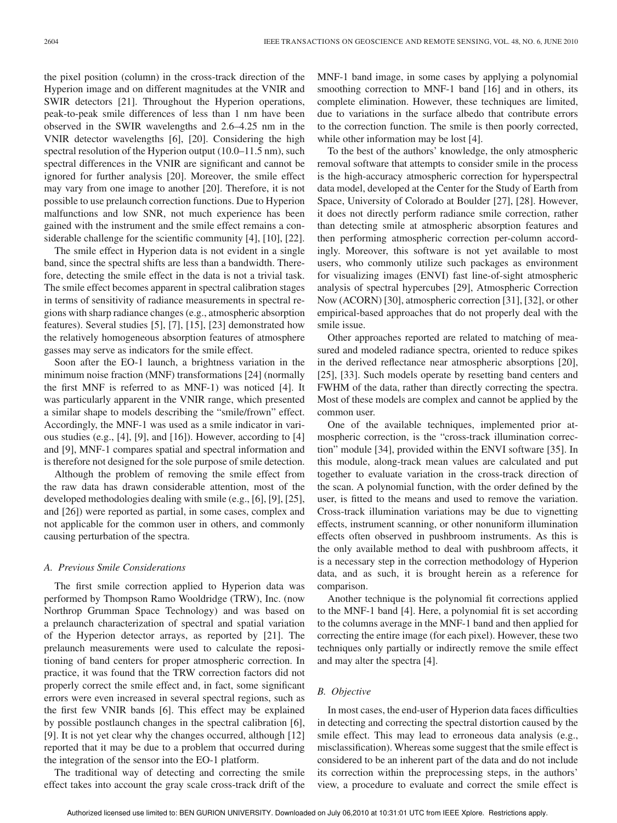the pixel position (column) in the cross-track direction of the Hyperion image and on different magnitudes at the VNIR and SWIR detectors [21]. Throughout the Hyperion operations, peak-to-peak smile differences of less than 1 nm have been observed in the SWIR wavelengths and 2.6–4.25 nm in the VNIR detector wavelengths [6], [20]. Considering the high spectral resolution of the Hyperion output (10.0–11.5 nm), such spectral differences in the VNIR are significant and cannot be ignored for further analysis [20]. Moreover, the smile effect may vary from one image to another [20]. Therefore, it is not possible to use prelaunch correction functions. Due to Hyperion malfunctions and low SNR, not much experience has been gained with the instrument and the smile effect remains a considerable challenge for the scientific community [4], [10], [22].

The smile effect in Hyperion data is not evident in a single band, since the spectral shifts are less than a bandwidth. Therefore, detecting the smile effect in the data is not a trivial task. The smile effect becomes apparent in spectral calibration stages in terms of sensitivity of radiance measurements in spectral regions with sharp radiance changes (e.g., atmospheric absorption features). Several studies [5], [7], [15], [23] demonstrated how the relatively homogeneous absorption features of atmosphere gasses may serve as indicators for the smile effect.

Soon after the EO-1 launch, a brightness variation in the minimum noise fraction (MNF) transformations [24] (normally the first MNF is referred to as MNF-1) was noticed [4]. It was particularly apparent in the VNIR range, which presented a similar shape to models describing the "smile/frown" effect. Accordingly, the MNF-1 was used as a smile indicator in various studies (e.g., [4], [9], and [16]). However, according to [4] and [9], MNF-1 compares spatial and spectral information and is therefore not designed for the sole purpose of smile detection.

Although the problem of removing the smile effect from the raw data has drawn considerable attention, most of the developed methodologies dealing with smile (e.g., [6], [9], [25], and [26]) were reported as partial, in some cases, complex and not applicable for the common user in others, and commonly causing perturbation of the spectra.

#### *A. Previous Smile Considerations*

The first smile correction applied to Hyperion data was performed by Thompson Ramo Wooldridge (TRW), Inc. (now Northrop Grumman Space Technology) and was based on a prelaunch characterization of spectral and spatial variation of the Hyperion detector arrays, as reported by [21]. The prelaunch measurements were used to calculate the repositioning of band centers for proper atmospheric correction. In practice, it was found that the TRW correction factors did not properly correct the smile effect and, in fact, some significant errors were even increased in several spectral regions, such as the first few VNIR bands [6]. This effect may be explained by possible postlaunch changes in the spectral calibration [6], [9]. It is not yet clear why the changes occurred, although [12] reported that it may be due to a problem that occurred during the integration of the sensor into the EO-1 platform.

The traditional way of detecting and correcting the smile effect takes into account the gray scale cross-track drift of the MNF-1 band image, in some cases by applying a polynomial smoothing correction to MNF-1 band [16] and in others, its complete elimination. However, these techniques are limited, due to variations in the surface albedo that contribute errors to the correction function. The smile is then poorly corrected, while other information may be lost [4].

To the best of the authors' knowledge, the only atmospheric removal software that attempts to consider smile in the process is the high-accuracy atmospheric correction for hyperspectral data model, developed at the Center for the Study of Earth from Space, University of Colorado at Boulder [27], [28]. However, it does not directly perform radiance smile correction, rather than detecting smile at atmospheric absorption features and then performing atmospheric correction per-column accordingly. Moreover, this software is not yet available to most users, who commonly utilize such packages as environment for visualizing images (ENVI) fast line-of-sight atmospheric analysis of spectral hypercubes [29], Atmospheric Correction Now (ACORN) [30], atmospheric correction [31], [32], or other empirical-based approaches that do not properly deal with the smile issue.

Other approaches reported are related to matching of measured and modeled radiance spectra, oriented to reduce spikes in the derived reflectance near atmospheric absorptions [20], [25], [33]. Such models operate by resetting band centers and FWHM of the data, rather than directly correcting the spectra. Most of these models are complex and cannot be applied by the common user.

One of the available techniques, implemented prior atmospheric correction, is the "cross-track illumination correction" module [34], provided within the ENVI software [35]. In this module, along-track mean values are calculated and put together to evaluate variation in the cross-track direction of the scan. A polynomial function, with the order defined by the user, is fitted to the means and used to remove the variation. Cross-track illumination variations may be due to vignetting effects, instrument scanning, or other nonuniform illumination effects often observed in pushbroom instruments. As this is the only available method to deal with pushbroom affects, it is a necessary step in the correction methodology of Hyperion data, and as such, it is brought herein as a reference for comparison.

Another technique is the polynomial fit corrections applied to the MNF-1 band [4]. Here, a polynomial fit is set according to the columns average in the MNF-1 band and then applied for correcting the entire image (for each pixel). However, these two techniques only partially or indirectly remove the smile effect and may alter the spectra [4].

# *B. Objective*

In most cases, the end-user of Hyperion data faces difficulties in detecting and correcting the spectral distortion caused by the smile effect. This may lead to erroneous data analysis (e.g., misclassification). Whereas some suggest that the smile effect is considered to be an inherent part of the data and do not include its correction within the preprocessing steps, in the authors' view, a procedure to evaluate and correct the smile effect is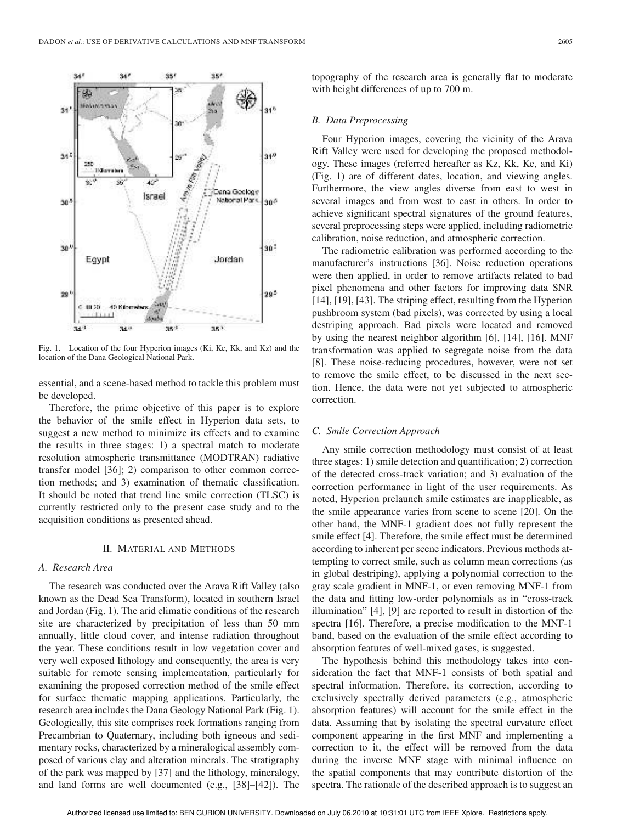

Fig. 1. Location of the four Hyperion images (Ki, Ke, Kk, and Kz) and the location of the Dana Geological National Park.

essential, and a scene-based method to tackle this problem must be developed.

Therefore, the prime objective of this paper is to explore the behavior of the smile effect in Hyperion data sets, to suggest a new method to minimize its effects and to examine the results in three stages: 1) a spectral match to moderate resolution atmospheric transmittance (MODTRAN) radiative transfer model [36]; 2) comparison to other common correction methods; and 3) examination of thematic classification. It should be noted that trend line smile correction (TLSC) is currently restricted only to the present case study and to the acquisition conditions as presented ahead.

## II. MATERIAL AND METHODS

#### *A. Research Area*

The research was conducted over the Arava Rift Valley (also known as the Dead Sea Transform), located in southern Israel and Jordan (Fig. 1). The arid climatic conditions of the research site are characterized by precipitation of less than 50 mm annually, little cloud cover, and intense radiation throughout the year. These conditions result in low vegetation cover and very well exposed lithology and consequently, the area is very suitable for remote sensing implementation, particularly for examining the proposed correction method of the smile effect for surface thematic mapping applications. Particularly, the research area includes the Dana Geology National Park (Fig. 1). Geologically, this site comprises rock formations ranging from Precambrian to Quaternary, including both igneous and sedimentary rocks, characterized by a mineralogical assembly composed of various clay and alteration minerals. The stratigraphy of the park was mapped by [37] and the lithology, mineralogy, and land forms are well documented (e.g., [38]–[42]). The

topography of the research area is generally flat to moderate with height differences of up to 700 m.

### *B. Data Preprocessing*

Four Hyperion images, covering the vicinity of the Arava Rift Valley were used for developing the proposed methodology. These images (referred hereafter as Kz, Kk, Ke, and Ki) (Fig. 1) are of different dates, location, and viewing angles. Furthermore, the view angles diverse from east to west in several images and from west to east in others. In order to achieve significant spectral signatures of the ground features, several preprocessing steps were applied, including radiometric calibration, noise reduction, and atmospheric correction.

The radiometric calibration was performed according to the manufacturer's instructions [36]. Noise reduction operations were then applied, in order to remove artifacts related to bad pixel phenomena and other factors for improving data SNR [14], [19], [43]. The striping effect, resulting from the Hyperion pushbroom system (bad pixels), was corrected by using a local destriping approach. Bad pixels were located and removed by using the nearest neighbor algorithm [6], [14], [16]. MNF transformation was applied to segregate noise from the data [8]. These noise-reducing procedures, however, were not set to remove the smile effect, to be discussed in the next section. Hence, the data were not yet subjected to atmospheric correction.

## *C. Smile Correction Approach*

Any smile correction methodology must consist of at least three stages: 1) smile detection and quantification; 2) correction of the detected cross-track variation; and 3) evaluation of the correction performance in light of the user requirements. As noted, Hyperion prelaunch smile estimates are inapplicable, as the smile appearance varies from scene to scene [20]. On the other hand, the MNF-1 gradient does not fully represent the smile effect [4]. Therefore, the smile effect must be determined according to inherent per scene indicators. Previous methods attempting to correct smile, such as column mean corrections (as in global destriping), applying a polynomial correction to the gray scale gradient in MNF-1, or even removing MNF-1 from the data and fitting low-order polynomials as in "cross-track illumination" [4], [9] are reported to result in distortion of the spectra [16]. Therefore, a precise modification to the MNF-1 band, based on the evaluation of the smile effect according to absorption features of well-mixed gases, is suggested.

The hypothesis behind this methodology takes into consideration the fact that MNF-1 consists of both spatial and spectral information. Therefore, its correction, according to exclusively spectrally derived parameters (e.g., atmospheric absorption features) will account for the smile effect in the data. Assuming that by isolating the spectral curvature effect component appearing in the first MNF and implementing a correction to it, the effect will be removed from the data during the inverse MNF stage with minimal influence on the spatial components that may contribute distortion of the spectra. The rationale of the described approach is to suggest an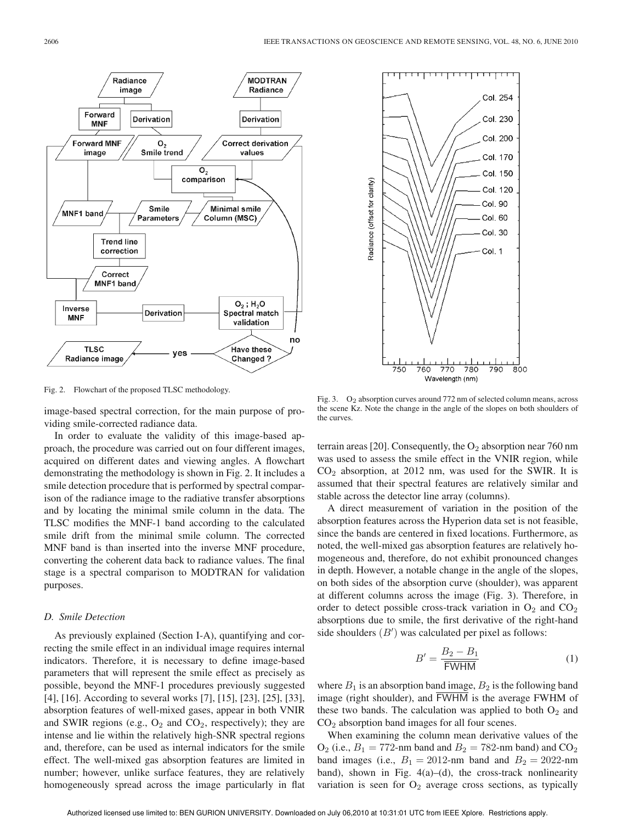

Fig. 2. Flowchart of the proposed TLSC methodology.

image-based spectral correction, for the main purpose of providing smile-corrected radiance data.

In order to evaluate the validity of this image-based approach, the procedure was carried out on four different images, acquired on different dates and viewing angles. A flowchart demonstrating the methodology is shown in Fig. 2. It includes a smile detection procedure that is performed by spectral comparison of the radiance image to the radiative transfer absorptions and by locating the minimal smile column in the data. The TLSC modifies the MNF-1 band according to the calculated smile drift from the minimal smile column. The corrected MNF band is than inserted into the inverse MNF procedure, converting the coherent data back to radiance values. The final stage is a spectral comparison to MODTRAN for validation purposes.

# *D. Smile Detection*

As previously explained (Section I-A), quantifying and correcting the smile effect in an individual image requires internal indicators. Therefore, it is necessary to define image-based parameters that will represent the smile effect as precisely as possible, beyond the MNF-1 procedures previously suggested [4], [16]. According to several works [7], [15], [23], [25], [33], absorption features of well-mixed gases, appear in both VNIR and SWIR regions (e.g.,  $O_2$  and  $CO_2$ , respectively); they are intense and lie within the relatively high-SNR spectral regions and, therefore, can be used as internal indicators for the smile effect. The well-mixed gas absorption features are limited in number; however, unlike surface features, they are relatively homogeneously spread across the image particularly in flat



Fig. 3. O<sub>2</sub> absorption curves around 772 nm of selected column means, across the scene Kz. Note the change in the angle of the slopes on both shoulders of the curves.

terrain areas [20]. Consequently, the  $O_2$  absorption near 760 nm was used to assess the smile effect in the VNIR region, while  $CO<sub>2</sub>$  absorption, at 2012 nm, was used for the SWIR. It is assumed that their spectral features are relatively similar and stable across the detector line array (columns).

A direct measurement of variation in the position of the absorption features across the Hyperion data set is not feasible, since the bands are centered in fixed locations. Furthermore, as noted, the well-mixed gas absorption features are relatively homogeneous and, therefore, do not exhibit pronounced changes in depth. However, a notable change in the angle of the slopes, on both sides of the absorption curve (shoulder), was apparent at different columns across the image (Fig. 3). Therefore, in order to detect possible cross-track variation in  $O_2$  and  $CO_2$ absorptions due to smile, the first derivative of the right-hand side shoulders  $(B')$  was calculated per pixel as follows:

$$
B' = \frac{B_2 - B_1}{\overline{\text{FWHM}}} \tag{1}
$$

where  $B_1$  is an absorption band image,  $B_2$  is the following band image (right shoulder), and FWHM is the average FWHM of these two bands. The calculation was applied to both  $O_2$  and CO<sup>2</sup> absorption band images for all four scenes.

When examining the column mean derivative values of the  $O_2$  (i.e.,  $B_1 = 772$ -nm band and  $B_2 = 782$ -nm band) and  $CO_2$ band images (i.e.,  $B_1 = 2012$ -nm band and  $B_2 = 2022$ -nm band), shown in Fig.  $4(a)$ –(d), the cross-track nonlinearity variation is seen for  $O_2$  average cross sections, as typically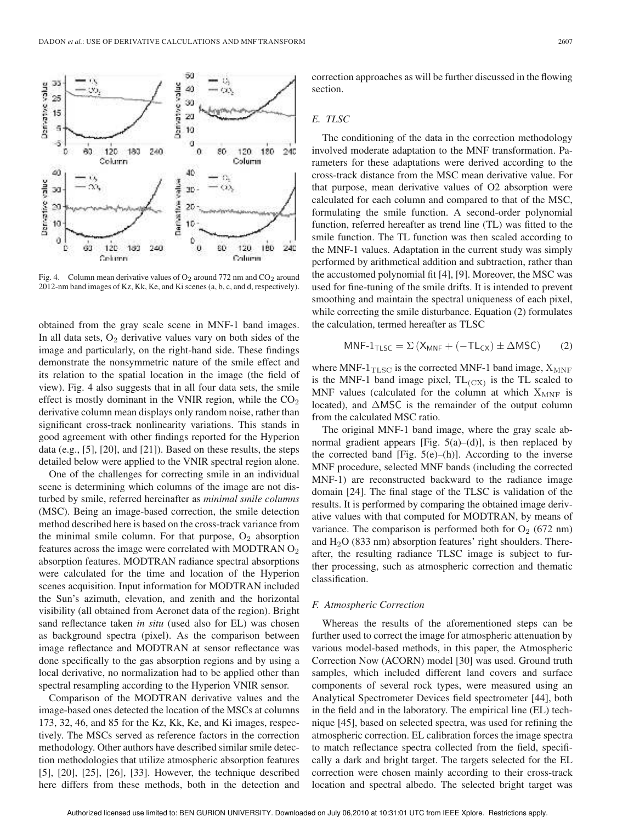

Fig. 4. Column mean derivative values of  $O_2$  around 772 nm and  $CO_2$  around 2012-nm band images of Kz, Kk, Ke, and Ki scenes (a, b, c, and d, respectively).

obtained from the gray scale scene in MNF-1 band images. In all data sets,  $O_2$  derivative values vary on both sides of the image and particularly, on the right-hand side. These findings demonstrate the nonsymmetric nature of the smile effect and its relation to the spatial location in the image (the field of view). Fig. 4 also suggests that in all four data sets, the smile effect is mostly dominant in the VNIR region, while the  $CO<sub>2</sub>$ derivative column mean displays only random noise, rather than significant cross-track nonlinearity variations. This stands in good agreement with other findings reported for the Hyperion data (e.g., [5], [20], and [21]). Based on these results, the steps detailed below were applied to the VNIR spectral region alone.

One of the challenges for correcting smile in an individual scene is determining which columns of the image are not disturbed by smile, referred hereinafter as *minimal smile columns* (MSC). Being an image-based correction, the smile detection method described here is based on the cross-track variance from the minimal smile column. For that purpose,  $O_2$  absorption features across the image were correlated with MODTRAN  $O<sub>2</sub>$ absorption features. MODTRAN radiance spectral absorptions were calculated for the time and location of the Hyperion scenes acquisition. Input information for MODTRAN included the Sun's azimuth, elevation, and zenith and the horizontal visibility (all obtained from Aeronet data of the region). Bright sand reflectance taken *in situ* (used also for EL) was chosen as background spectra (pixel). As the comparison between image reflectance and MODTRAN at sensor reflectance was done specifically to the gas absorption regions and by using a local derivative, no normalization had to be applied other than spectral resampling according to the Hyperion VNIR sensor.

Comparison of the MODTRAN derivative values and the image-based ones detected the location of the MSCs at columns 173, 32, 46, and 85 for the Kz, Kk, Ke, and Ki images, respectively. The MSCs served as reference factors in the correction methodology. Other authors have described similar smile detection methodologies that utilize atmospheric absorption features [5], [20], [25], [26], [33]. However, the technique described here differs from these methods, both in the detection and

correction approaches as will be further discussed in the flowing section.

# *E. TLSC*

The conditioning of the data in the correction methodology involved moderate adaptation to the MNF transformation. Parameters for these adaptations were derived according to the cross-track distance from the MSC mean derivative value. For that purpose, mean derivative values of O2 absorption were calculated for each column and compared to that of the MSC, formulating the smile function. A second-order polynomial function, referred hereafter as trend line (TL) was fitted to the smile function. The TL function was then scaled according to the MNF-1 values. Adaptation in the current study was simply performed by arithmetical addition and subtraction, rather than the accustomed polynomial fit [4], [9]. Moreover, the MSC was used for fine-tuning of the smile drifts. It is intended to prevent smoothing and maintain the spectral uniqueness of each pixel, while correcting the smile disturbance. Equation (2) formulates the calculation, termed hereafter as TLSC

$$
MNF-1_{TLSC} = \Sigma (X_{MNF} + (-TL_{CX}) \pm \Delta MSC) \qquad (2)
$$

where MNF- $1_{\text{TLSC}}$  is the corrected MNF-1 band image,  $X_{\text{MNF}}$ is the MNF-1 band image pixel,  $TL_{(CX)}$  is the TL scaled to MNF values (calculated for the column at which  $X_{\text{MNF}}$  is located), and ∆MSC is the remainder of the output column from the calculated MSC ratio.

The original MNF-1 band image, where the gray scale abnormal gradient appears [Fig.  $5(a)$ –(d)], is then replaced by the corrected band [Fig.  $5(e)$ –(h)]. According to the inverse MNF procedure, selected MNF bands (including the corrected MNF-1) are reconstructed backward to the radiance image domain [24]. The final stage of the TLSC is validation of the results. It is performed by comparing the obtained image derivative values with that computed for MODTRAN, by means of variance. The comparison is performed both for  $O_2$  (672 nm) and  $H<sub>2</sub>O$  (833 nm) absorption features' right shoulders. Thereafter, the resulting radiance TLSC image is subject to further processing, such as atmospheric correction and thematic classification.

# *F. Atmospheric Correction*

Whereas the results of the aforementioned steps can be further used to correct the image for atmospheric attenuation by various model-based methods, in this paper, the Atmospheric Correction Now (ACORN) model [30] was used. Ground truth samples, which included different land covers and surface components of several rock types, were measured using an Analytical Spectrometer Devices field spectrometer [44], both in the field and in the laboratory. The empirical line (EL) technique [45], based on selected spectra, was used for refining the atmospheric correction. EL calibration forces the image spectra to match reflectance spectra collected from the field, specifically a dark and bright target. The targets selected for the EL correction were chosen mainly according to their cross-track location and spectral albedo. The selected bright target was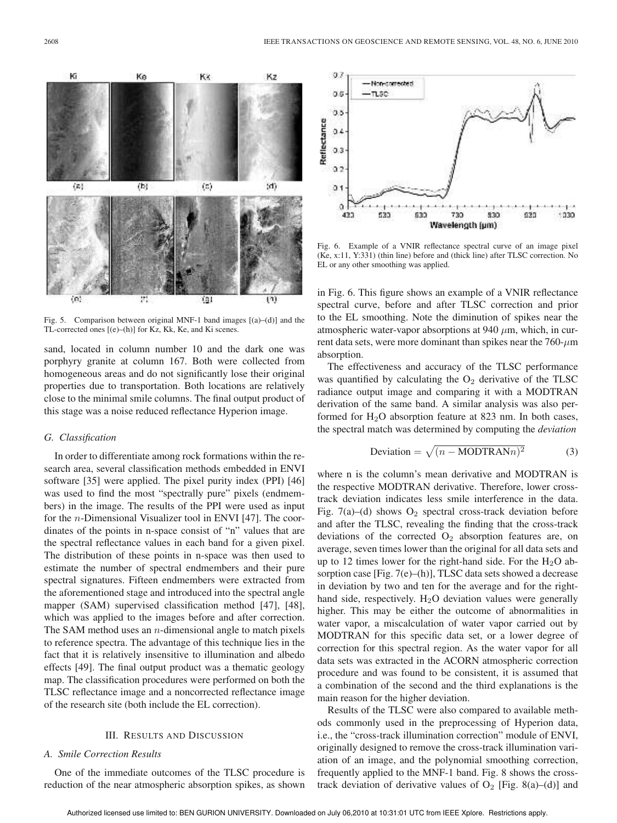

Fig. 5. Comparison between original MNF-1 band images [(a)–(d)] and the TL-corrected ones [(e)–(h)] for Kz, Kk, Ke, and Ki scenes.

sand, located in column number 10 and the dark one was porphyry granite at column 167. Both were collected from homogeneous areas and do not significantly lose their original properties due to transportation. Both locations are relatively close to the minimal smile columns. The final output product of this stage was a noise reduced reflectance Hyperion image.

#### *G. Classification*

In order to differentiate among rock formations within the research area, several classification methods embedded in ENVI software [35] were applied. The pixel purity index (PPI) [46] was used to find the most "spectrally pure" pixels (endmembers) in the image. The results of the PPI were used as input for the n-Dimensional Visualizer tool in ENVI [47]. The coordinates of the points in n-space consist of "n" values that are the spectral reflectance values in each band for a given pixel. The distribution of these points in n-space was then used to estimate the number of spectral endmembers and their pure spectral signatures. Fifteen endmembers were extracted from the aforementioned stage and introduced into the spectral angle mapper (SAM) supervised classification method [47], [48], which was applied to the images before and after correction. The SAM method uses an  $n$ -dimensional angle to match pixels to reference spectra. The advantage of this technique lies in the fact that it is relatively insensitive to illumination and albedo effects [49]. The final output product was a thematic geology map. The classification procedures were performed on both the TLSC reflectance image and a noncorrected reflectance image of the research site (both include the EL correction).

## III. RESULTS AND DISCUSSION

# *A. Smile Correction Results*

One of the immediate outcomes of the TLSC procedure is reduction of the near atmospheric absorption spikes, as shown



Fig. 6. Example of a VNIR reflectance spectral curve of an image pixel (Ke, x:11, Y:331) (thin line) before and (thick line) after TLSC correction. No EL or any other smoothing was applied.

in Fig. 6. This figure shows an example of a VNIR reflectance spectral curve, before and after TLSC correction and prior to the EL smoothing. Note the diminution of spikes near the atmospheric water-vapor absorptions at 940  $\mu$ m, which, in current data sets, were more dominant than spikes near the  $760-\mu m$ absorption.

The effectiveness and accuracy of the TLSC performance was quantified by calculating the  $O_2$  derivative of the TLSC radiance output image and comparing it with a MODTRAN derivation of the same band. A similar analysis was also performed for  $H<sub>2</sub>O$  absorption feature at 823 nm. In both cases, the spectral match was determined by computing the *deviation*

$$
Deviation = \sqrt{(n - MODTRANn)^2}
$$
 (3)

where n is the column's mean derivative and MODTRAN is the respective MODTRAN derivative. Therefore, lower crosstrack deviation indicates less smile interference in the data. Fig. 7(a)–(d) shows  $O_2$  spectral cross-track deviation before and after the TLSC, revealing the finding that the cross-track deviations of the corrected  $O_2$  absorption features are, on average, seven times lower than the original for all data sets and up to 12 times lower for the right-hand side. For the  $H_2O$  absorption case [Fig. 7(e)–(h)], TLSC data sets showed a decrease in deviation by two and ten for the average and for the righthand side, respectively.  $H_2O$  deviation values were generally higher. This may be either the outcome of abnormalities in water vapor, a miscalculation of water vapor carried out by MODTRAN for this specific data set, or a lower degree of correction for this spectral region. As the water vapor for all data sets was extracted in the ACORN atmospheric correction procedure and was found to be consistent, it is assumed that a combination of the second and the third explanations is the main reason for the higher deviation.

Results of the TLSC were also compared to available methods commonly used in the preprocessing of Hyperion data, i.e., the "cross-track illumination correction" module of ENVI, originally designed to remove the cross-track illumination variation of an image, and the polynomial smoothing correction, frequently applied to the MNF-1 band. Fig. 8 shows the crosstrack deviation of derivative values of  $O_2$  [Fig. 8(a)–(d)] and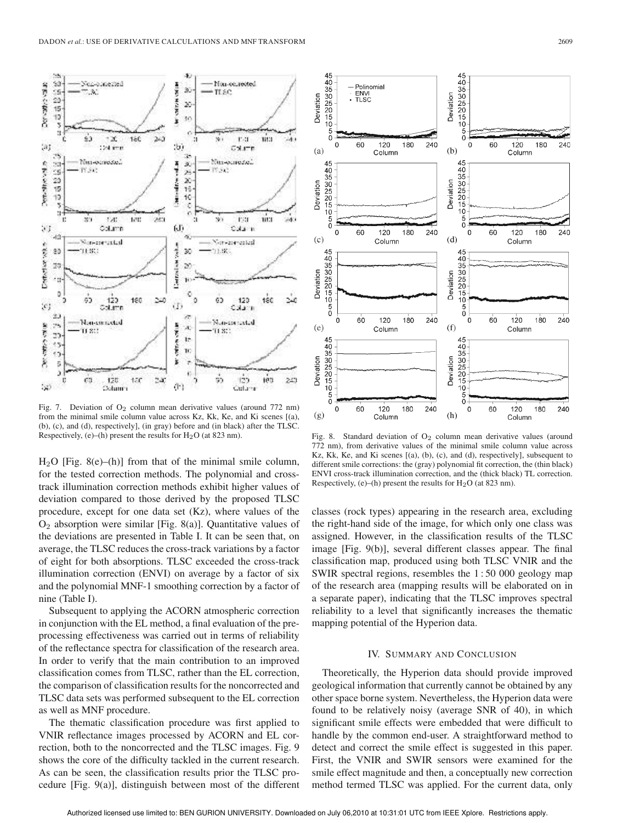

Fig. 7. Deviation of  $O_2$  column mean derivative values (around 772 nm) from the minimal smile column value across Kz, Kk, Ke, and Ki scenes [(a), (b), (c), and (d), respectively], (in gray) before and (in black) after the TLSC. Respectively, (e)–(h) present the results for  $H<sub>2</sub>O$  (at 823 nm).

 $H<sub>2</sub>O$  [Fig. 8(e)–(h)] from that of the minimal smile column, for the tested correction methods. The polynomial and crosstrack illumination correction methods exhibit higher values of deviation compared to those derived by the proposed TLSC procedure, except for one data set (Kz), where values of the  $O<sub>2</sub>$  absorption were similar [Fig. 8(a)]. Quantitative values of the deviations are presented in Table I. It can be seen that, on average, the TLSC reduces the cross-track variations by a factor of eight for both absorptions. TLSC exceeded the cross-track illumination correction (ENVI) on average by a factor of six and the polynomial MNF-1 smoothing correction by a factor of nine (Table I).

Subsequent to applying the ACORN atmospheric correction in conjunction with the EL method, a final evaluation of the preprocessing effectiveness was carried out in terms of reliability of the reflectance spectra for classification of the research area. In order to verify that the main contribution to an improved classification comes from TLSC, rather than the EL correction, the comparison of classification results for the noncorrected and TLSC data sets was performed subsequent to the EL correction as well as MNF procedure.

The thematic classification procedure was first applied to VNIR reflectance images processed by ACORN and EL correction, both to the noncorrected and the TLSC images. Fig. 9 shows the core of the difficulty tackled in the current research. As can be seen, the classification results prior the TLSC procedure [Fig. 9(a)], distinguish between most of the different



Fig. 8. Standard deviation of  $O<sub>2</sub>$  column mean derivative values (around 772 nm), from derivative values of the minimal smile column value across Kz, Kk, Ke, and Ki scenes [(a), (b), (c), and (d), respectively], subsequent to different smile corrections: the (gray) polynomial fit correction, the (thin black) ENVI cross-track illumination correction, and the (thick black) TL correction. Respectively, (e)–(h) present the results for  $H<sub>2</sub>O$  (at 823 nm).

classes (rock types) appearing in the research area, excluding the right-hand side of the image, for which only one class was assigned. However, in the classification results of the TLSC image [Fig. 9(b)], several different classes appear. The final classification map, produced using both TLSC VNIR and the SWIR spectral regions, resembles the 1 : 50 000 geology map of the research area (mapping results will be elaborated on in a separate paper), indicating that the TLSC improves spectral reliability to a level that significantly increases the thematic mapping potential of the Hyperion data.

## IV. SUMMARY AND CONCLUSION

Theoretically, the Hyperion data should provide improved geological information that currently cannot be obtained by any other space borne system. Nevertheless, the Hyperion data were found to be relatively noisy (average SNR of 40), in which significant smile effects were embedded that were difficult to handle by the common end-user. A straightforward method to detect and correct the smile effect is suggested in this paper. First, the VNIR and SWIR sensors were examined for the smile effect magnitude and then, a conceptually new correction method termed TLSC was applied. For the current data, only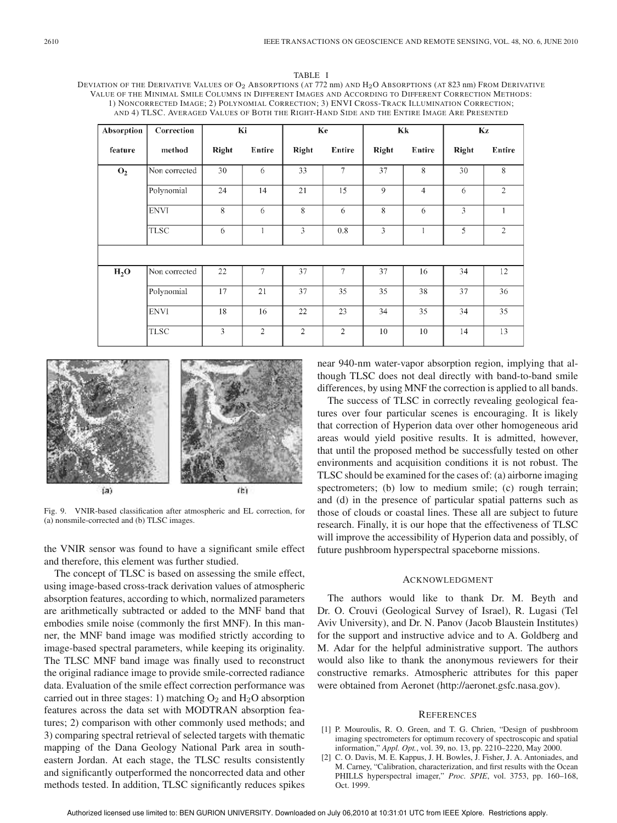TABLE I DEVIATION OF THE DERIVATIVE VALUES OF O2 ABSORPTIONS (AT 772 nm) AND H<sub>2</sub>O ABSORPTIONS (AT 823 nm) FROM DERIVATIVE VALUE OF THE MINIMAL SMILE COLUMNS IN DIFFERENT IMAGES AND ACCORDING TO DIFFERENT CORRECTION METHODS: 1) NONCORRECTED IMAGE; 2) POLYNOMIAL CORRECTION; 3) ENVI CROSS-TRACK ILLUMINATION CORRECTION; AND 4) TLSC. AVERAGED VALUES OF BOTH THE RIGHT-HAND SIDE AND THE ENTIRE IMAGE ARE PRESENTED

| Absorption     | Correction    | Ki             |                | Ke             |                | Кk    |                | Kz           |                |
|----------------|---------------|----------------|----------------|----------------|----------------|-------|----------------|--------------|----------------|
| feature        | method        | Right          | Entire         | Right          | Entire         | Right | Entire         | <b>Right</b> | Entire         |
| O <sub>2</sub> | Non corrected | 30             | 6              | 33             | $\overline{7}$ | 37    | 8              | 30           | 8              |
|                | Polynomial    | 24             | 14             | 21             | 15             | 9     | $\overline{4}$ | 6            | $\overline{2}$ |
|                | <b>ENVI</b>   | 8              | 6              | 8              | 6              | 8     | 6              | 3            | 1              |
|                | <b>TLSC</b>   | 6              |                | 3              | 0.8            | 3     |                | 5            | $\overline{2}$ |
|                |               |                |                |                |                |       |                |              |                |
| $H_2O$         | Non corrected | 22             | $\tau$         | 37             | $\tau$         | 37    | 16             | 34           | 12             |
|                | Polynomial    | 17             | 21             | 37             | 35             | 35    | 38             | 37           | 36             |
|                | <b>ENVI</b>   | 18             | 16             | 22             | 23             | 34    | 35             | 34           | 35             |
|                | <b>TLSC</b>   | $\overline{3}$ | $\overline{2}$ | $\overline{2}$ | $\overline{2}$ | 10    | 10             | 14           | 13             |



Fig. 9. VNIR-based classification after atmospheric and EL correction, for (a) nonsmile-corrected and (b) TLSC images.

the VNIR sensor was found to have a significant smile effect and therefore, this element was further studied.

The concept of TLSC is based on assessing the smile effect, using image-based cross-track derivation values of atmospheric absorption features, according to which, normalized parameters are arithmetically subtracted or added to the MNF band that embodies smile noise (commonly the first MNF). In this manner, the MNF band image was modified strictly according to image-based spectral parameters, while keeping its originality. The TLSC MNF band image was finally used to reconstruct the original radiance image to provide smile-corrected radiance data. Evaluation of the smile effect correction performance was carried out in three stages: 1) matching  $O_2$  and  $H_2O$  absorption features across the data set with MODTRAN absorption features; 2) comparison with other commonly used methods; and 3) comparing spectral retrieval of selected targets with thematic mapping of the Dana Geology National Park area in southeastern Jordan. At each stage, the TLSC results consistently and significantly outperformed the noncorrected data and other methods tested. In addition, TLSC significantly reduces spikes

near 940-nm water-vapor absorption region, implying that although TLSC does not deal directly with band-to-band smile differences, by using MNF the correction is applied to all bands.

The success of TLSC in correctly revealing geological features over four particular scenes is encouraging. It is likely that correction of Hyperion data over other homogeneous arid areas would yield positive results. It is admitted, however, that until the proposed method be successfully tested on other environments and acquisition conditions it is not robust. The TLSC should be examined for the cases of: (a) airborne imaging spectrometers; (b) low to medium smile; (c) rough terrain; and (d) in the presence of particular spatial patterns such as those of clouds or coastal lines. These all are subject to future research. Finally, it is our hope that the effectiveness of TLSC will improve the accessibility of Hyperion data and possibly, of future pushbroom hyperspectral spaceborne missions.

# ACKNOWLEDGMENT

The authors would like to thank Dr. M. Beyth and Dr. O. Crouvi (Geological Survey of Israel), R. Lugasi (Tel Aviv University), and Dr. N. Panov (Jacob Blaustein Institutes) for the support and instructive advice and to A. Goldberg and M. Adar for the helpful administrative support. The authors would also like to thank the anonymous reviewers for their constructive remarks. Atmospheric attributes for this paper were obtained from Aeronet (http://aeronet.gsfc.nasa.gov).

#### **REFERENCES**

- [1] P. Mouroulis, R. O. Green, and T. G. Chrien, "Design of pushbroom imaging spectrometers for optimum recovery of spectroscopic and spatial information," *Appl. Opt.*, vol. 39, no. 13, pp. 2210–2220, May 2000.
- [2] C. O. Davis, M. E. Kappus, J. H. Bowles, J. Fisher, J. A. Antoniades, and M. Carney, "Calibration, characterization, and first results with the Ocean PHILLS hyperspectral imager," *Proc. SPIE*, vol. 3753, pp. 160–168, Oct. 1999.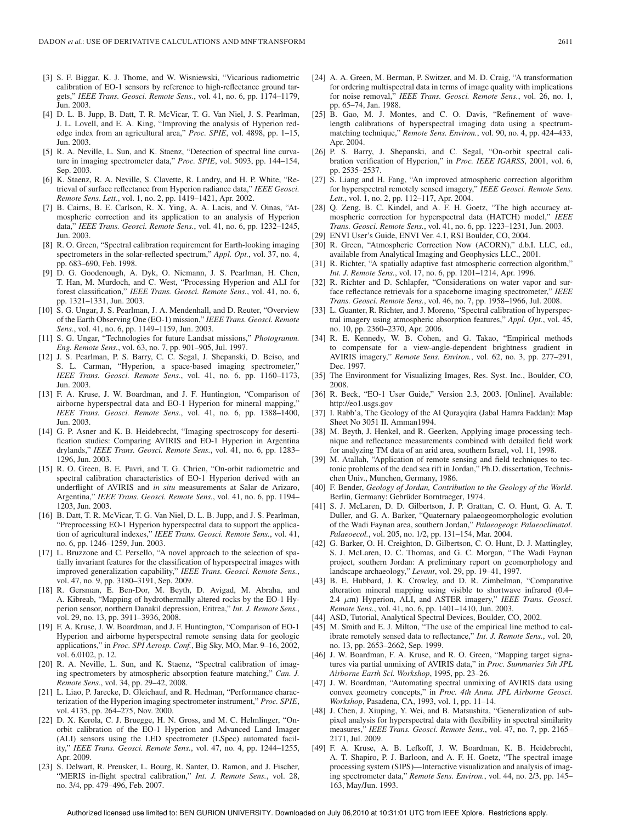- [3] S. F. Biggar, K. J. Thome, and W. Wisniewski, "Vicarious radiometric calibration of EO-1 sensors by reference to high-reflectance ground targets," *IEEE Trans. Geosci. Remote Sens.*, vol. 41, no. 6, pp. 1174–1179, Jun. 2003.
- [4] D. L. B. Jupp, B. Datt, T. R. McVicar, T. G. Van Niel, J. S. Pearlman, J. L. Lovell, and E. A. King, "Improving the analysis of Hyperion rededge index from an agricultural area," *Proc. SPIE*, vol. 4898, pp. 1–15, Jun. 2003.
- [5] R. A. Neville, L. Sun, and K. Staenz, "Detection of spectral line curvature in imaging spectrometer data," *Proc. SPIE*, vol. 5093, pp. 144–154, Sep. 2003.
- [6] K. Staenz, R. A. Neville, S. Clavette, R. Landry, and H. P. White, "Retrieval of surface reflectance from Hyperion radiance data," *IEEE Geosci. Remote Sens. Lett.*, vol. 1, no. 2, pp. 1419–1421, Apr. 2002.
- B. Cairns, B. E. Carlson, R. X. Ying, A. A. Lacis, and V. Oinas, "Atmospheric correction and its application to an analysis of Hyperion data," *IEEE Trans. Geosci. Remote Sens.*, vol. 41, no. 6, pp. 1232–1245, Jun. 2003.
- [8] R. O. Green, "Spectral calibration requirement for Earth-looking imaging spectrometers in the solar-reflected spectrum," *Appl. Opt.*, vol. 37, no. 4, pp. 683–690, Feb. 1998.
- [9] D. G. Goodenough, A. Dyk, O. Niemann, J. S. Pearlman, H. Chen, T. Han, M. Murdoch, and C. West, "Processing Hyperion and ALI for forest classification," *IEEE Trans. Geosci. Remote Sens.*, vol. 41, no. 6, pp. 1321–1331, Jun. 2003.
- [10] S. G. Ungar, J. S. Pearlman, J. A. Mendenhall, and D. Reuter, "Overview of the Earth Observing One (EO-1) mission," *IEEE Trans. Geosci. Remote Sens.*, vol. 41, no. 6, pp. 1149–1159, Jun. 2003.
- [11] S. G. Ungar, "Technologies for future Landsat missions," *Photogramm. Eng. Remote Sens.*, vol. 63, no. 7, pp. 901–905, Jul. 1997.
- [12] J. S. Pearlman, P. S. Barry, C. C. Segal, J. Shepanski, D. Beiso, and S. L. Carman, "Hyperion, a space-based imaging spectrometer," *IEEE Trans. Geosci. Remote Sens.*, vol. 41, no. 6, pp. 1160–1173, Jun. 2003.
- [13] F. A. Kruse, J. W. Boardman, and J. F. Huntington, "Comparison of airborne hyperspectral data and EO-1 Hyperion for mineral mapping," *IEEE Trans. Geosci. Remote Sens.*, vol. 41, no. 6, pp. 1388–1400, Jun. 2003.
- [14] G. P. Asner and K. B. Heidebrecht, "Imaging spectroscopy for desertification studies: Comparing AVIRIS and EO-1 Hyperion in Argentina drylands," *IEEE Trans. Geosci. Remote Sens.*, vol. 41, no. 6, pp. 1283– 1296, Jun. 2003.
- [15] R. O. Green, B. E. Pavri, and T. G. Chrien, "On-orbit radiometric and spectral calibration characteristics of EO-1 Hyperion derived with an underflight of AVIRIS and *in situ* measurements at Salar de Arizaro, Argentina," *IEEE Trans. Geosci. Remote Sens.*, vol. 41, no. 6, pp. 1194– 1203, Jun. 2003.
- [16] B. Datt, T. R. McVicar, T. G. Van Niel, D. L. B. Jupp, and J. S. Pearlman, "Preprocessing EO-1 Hyperion hyperspectral data to support the application of agricultural indexes," *IEEE Trans. Geosci. Remote Sens.*, vol. 41, no. 6, pp. 1246–1259, Jun. 2003.
- [17] L. Bruzzone and C. Persello, "A novel approach to the selection of spatially invariant features for the classification of hyperspectral images with improved generalization capability," *IEEE Trans. Geosci. Remote Sens.*, vol. 47, no. 9, pp. 3180–3191, Sep. 2009.
- [18] R. Gersman, E. Ben-Dor, M. Beyth, D. Avigad, M. Abraha, and A. Kibreab, "Mapping of hydrothermally altered rocks by the EO-1 Hyperion sensor, northern Danakil depression, Eritrea," *Int. J. Remote Sens.*, vol. 29, no. 13, pp. 3911-3936, 2008.
- [19] F. A. Kruse, J. W. Boardman, and J. F. Huntington, "Comparison of EO-1 Hyperion and airborne hyperspectral remote sensing data for geologic applications," in *Proc. SPI Aerosp. Conf.*, Big Sky, MO, Mar. 9–16, 2002, vol. 6.0102, p. 12.
- [20] R. A. Neville, L. Sun, and K. Staenz, "Spectral calibration of imaging spectrometers by atmospheric absorption feature matching," *Can. J. Remote Sens.*, vol. 34, pp. 29–42, 2008.
- [21] L. Liao, P. Jarecke, D. Gleichauf, and R. Hedman, "Performance characterization of the Hyperion imaging spectrometer instrument," *Proc. SPIE*, vol. 4135, pp. 264–275, Nov. 2000.
- [22] D. X. Kerola, C. J. Bruegge, H. N. Gross, and M. C. Helmlinger, "Onorbit calibration of the EO-1 Hyperion and Advanced Land Imager (ALI) sensors using the LED spectrometer (LSpec) automated facility," *IEEE Trans. Geosci. Remote Sens.*, vol. 47, no. 4, pp. 1244–1255, Apr. 2009.
- [23] S. Delwart, R. Preusker, L. Bourg, R. Santer, D. Ramon, and J. Fischer, "MERIS in-flight spectral calibration," *Int. J. Remote Sens.*, vol. 28, no. 3/4, pp. 479–496, Feb. 2007.
- [24] A. A. Green, M. Berman, P. Switzer, and M. D. Craig, "A transformation for ordering multispectral data in terms of image quality with implications for noise removal," *IEEE Trans. Geosci. Remote Sens.*, vol. 26, no. 1, pp. 65–74, Jan. 1988.
- [25] B. Gao, M. J. Montes, and C. O. Davis, "Refinement of wavelength calibrations of hyperspectral imaging data using a spectrummatching technique," *Remote Sens. Environ.*, vol. 90, no. 4, pp. 424–433, Apr. 2004.
- [26] P. S. Barry, J. Shepanski, and C. Segal, "On-orbit spectral calibration verification of Hyperion," in *Proc. IEEE IGARSS*, 2001, vol. 6, pp. 2535–2537.
- [27] S. Liang and H. Fang, "An improved atmospheric correction algorithm for hyperspectral remotely sensed imagery," *IEEE Geosci. Remote Sens. Lett.*, vol. 1, no. 2, pp. 112–117, Apr. 2004.
- [28] Q. Zeng, B. C. Kindel, and A. F. H. Goetz, "The high accuracy atmospheric correction for hyperspectral data (HATCH) model," *IEEE Trans. Geosci. Remote Sens.*, vol. 41, no. 6, pp. 1223–1231, Jun. 2003.
- [29] ENVI User's Guide, ENVI Ver. 4.1, RSI Boulder, CO, 2004.
- [30] R. Green, "Atmospheric Correction Now (ACORN)," d.b.I. LLC, ed., available from Analytical Imaging and Geophysics LLC., 2001.
- [31] R. Richter, "A spatially adaptive fast atmospheric correction algorithm," *Int. J. Remote Sens.*, vol. 17, no. 6, pp. 1201–1214, Apr. 1996.
- [32] R. Richter and D. Schlapfer, "Considerations on water vapor and surface reflectance retrievals for a spaceborne imaging spectrometer," *IEEE Trans. Geosci. Remote Sens.*, vol. 46, no. 7, pp. 1958–1966, Jul. 2008.
- [33] L. Guanter, R. Richter, and J. Moreno, "Spectral calibration of hyperspectral imagery using atmospheric absorption features," *Appl. Opt.*, vol. 45, no. 10, pp. 2360–2370, Apr. 2006.
- [34] R. E. Kennedy, W. B. Cohen, and G. Takao, "Empirical methods to compensate for a view-angle-dependent brightness gradient in AVIRIS imagery," *Remote Sens. Environ.*, vol. 62, no. 3, pp. 277–291, Dec. 1997.
- [35] The Environment for Visualizing Images, Res. Syst. Inc., Boulder, CO, 2008.
- [36] R. Beck, "EO-1 User Guide," Version 2.3, 2003. [Online]. Available: http://eo1.usgs.gov
- [37] I. Rabb'a, The Geology of the Al Qurayqira (Jabal Hamra Faddan): Map Sheet No 3051 II. Amman1994.
- [38] M. Beyth, J. Henkel, and R. Geerken, Applying image processing technique and reflectance measurements combined with detailed field work for analyzing TM data of an arid area, southern Israel, vol. 11, 1998.
- [39] M. Atallah, "Application of remote sensing and field techniques to tectonic problems of the dead sea rift in Jordan," Ph.D. dissertation, Technischen Univ., Munchen, Germany, 1986.
- [40] F. Bender, *Geology of Jordan, Contribution to the Geology of the World*. Berlin, Germany: Gebrüder Borntraeger, 1974.
- [41] S. J. McLaren, D. D. Gilbertson, J. P. Grattan, C. O. Hunt, G. A. T. Duller, and G. A. Barker, "Quaternary palaeogeomorphologic evolution of the Wadi Faynan area, southern Jordan," *Palaeogeogr. Palaeoclimatol. Palaeoecol.*, vol. 205, no. 1/2, pp. 131–154, Mar. 2004.
- [42] G. Barker, O. H. Creighton, D. Gilbertson, C. O. Hunt, D. J. Mattingley, S. J. McLaren, D. C. Thomas, and G. C. Morgan, "The Wadi Faynan project, southern Jordan: A preliminary report on geomorphology and landscape archaeology," *Levant*, vol. 29, pp. 19–41, 1997.
- [43] B. E. Hubbard, J. K. Crowley, and D. R. Zimbelman, "Comparative alteration mineral mapping using visible to shortwave infrared (0.4– 2.4 µm) Hyperion, ALI, and ASTER imagery," *IEEE Trans. Geosci. Remote Sens.*, vol. 41, no. 6, pp. 1401–1410, Jun. 2003.
- [44] ASD, Tutorial, Analytical Spectral Devices, Boulder, CO, 2002.
- [45] M. Smith and E. J. Milton, "The use of the empirical line method to calibrate remotely sensed data to reflectance," *Int. J. Remote Sens.*, vol. 20, no. 13, pp. 2653–2662, Sep. 1999.
- [46] J. W. Boardman, F. A. Kruse, and R. O. Green, "Mapping target signatures via partial unmixing of AVIRIS data," in *Proc. Summaries 5th JPL Airborne Earth Sci. Workshop*, 1995, pp. 23–26.
- [47] J. W. Boardman, "Automating spectral unmixing of AVIRIS data using convex geometry concepts," in *Proc. 4th Annu. JPL Airborne Geosci. Workshop*, Pasadena, CA, 1993, vol. 1, pp. 11–14.
- [48] J. Chen, J. Xiuping, Y. Wei, and B. Matsushita, "Generalization of subpixel analysis for hyperspectral data with flexibility in spectral similarity measures," *IEEE Trans. Geosci. Remote Sens.*, vol. 47, no. 7, pp. 2165– 2171, Jul. 2009.
- [49] F. A. Kruse, A. B. Lefkoff, J. W. Boardman, K. B. Heidebrecht, A. T. Shapiro, P. J. Barloon, and A. F. H. Goetz, "The spectral image processing system (SIPS)—Interactive visualization and analysis of imaging spectrometer data," *Remote Sens. Environ.*, vol. 44, no. 2/3, pp. 145– 163, May/Jun. 1993.